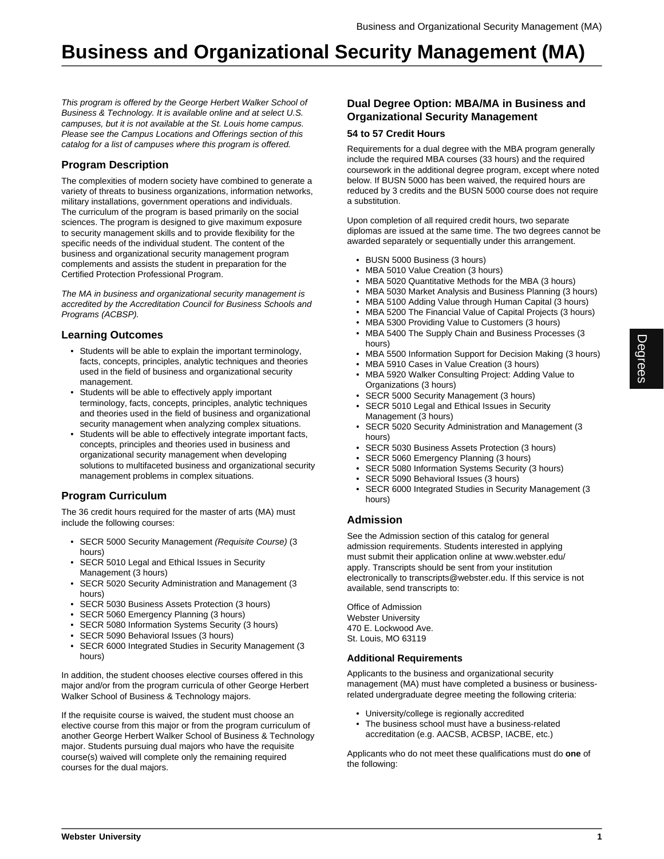# **Business and Organizational Security Management (MA)**

This program is offered by the George Herbert Walker School of Business & Technology. It is available online and at select U.S. campuses, but it is not available at the St. Louis home campus. Please see the Campus Locations and Offerings section of this catalog for a list of campuses where this program is offered.

# **Program Description**

The complexities of modern society have combined to generate a variety of threats to business organizations, information networks, military installations, government operations and individuals. The curriculum of the program is based primarily on the social sciences. The program is designed to give maximum exposure to security management skills and to provide flexibility for the specific needs of the individual student. The content of the business and organizational security management program complements and assists the student in preparation for the Certified Protection Professional Program.

The MA in business and organizational security management is accredited by the Accreditation Council for Business Schools and Programs (ACBSP).

## **Learning Outcomes**

- Students will be able to explain the important terminology, facts, concepts, principles, analytic techniques and theories used in the field of business and organizational security management.
- Students will be able to effectively apply important terminology, facts, concepts, principles, analytic techniques and theories used in the field of business and organizational security management when analyzing complex situations.
- Students will be able to effectively integrate important facts, concepts, principles and theories used in business and organizational security management when developing solutions to multifaceted business and organizational security management problems in complex situations.

# **Program Curriculum**

The 36 credit hours required for the master of arts (MA) must include the following courses:

- SECR 5000 Security Management (Requisite Course) (3 hours)
- SECR 5010 Legal and Ethical Issues in Security Management (3 hours)
- SECR 5020 Security Administration and Management (3 hours)
- SECR 5030 Business Assets Protection (3 hours)
- SECR 5060 Emergency Planning (3 hours)
- SECR 5080 Information Systems Security (3 hours)
- SECR 5090 Behavioral Issues (3 hours)
- SECR 6000 Integrated Studies in Security Management (3 hours)

In addition, the student chooses elective courses offered in this major and/or from the program curricula of other George Herbert Walker School of Business & Technology majors.

If the requisite course is waived, the student must choose an elective course from this major or from the program curriculum of another George Herbert Walker School of Business & Technology major. Students pursuing dual majors who have the requisite course(s) waived will complete only the remaining required courses for the dual majors.

## **Dual Degree Option: MBA/MA in Business and Organizational Security Management**

#### **54 to 57 Credit Hours**

Requirements for a dual degree with the MBA program generally include the required MBA courses (33 hours) and the required coursework in the additional degree program, except where noted below. If BUSN 5000 has been waived, the required hours are reduced by 3 credits and the BUSN 5000 course does not require a substitution.

Upon completion of all required credit hours, two separate diplomas are issued at the same time. The two degrees cannot be awarded separately or sequentially under this arrangement.

- BUSN 5000 Business (3 hours)
- MBA 5010 Value Creation (3 hours)
- MBA 5020 Quantitative Methods for the MBA (3 hours)
- MBA 5030 Market Analysis and Business Planning (3 hours)
- MBA 5100 Adding Value through Human Capital (3 hours)
- MBA 5200 The Financial Value of Capital Projects (3 hours)
- MBA 5300 Providing Value to Customers (3 hours)
- MBA 5400 The Supply Chain and Business Processes (3 hours)
- MBA 5500 Information Support for Decision Making (3 hours)
- MBA 5910 Cases in Value Creation (3 hours)
- MBA 5920 Walker Consulting Project: Adding Value to Organizations (3 hours)
- SECR 5000 Security Management (3 hours)
- SECR 5010 Legal and Ethical Issues in Security Management (3 hours)
- SECR 5020 Security Administration and Management (3 hours)
- SECR 5030 Business Assets Protection (3 hours)
- SECR 5060 Emergency Planning (3 hours)
- SECR 5080 Information Systems Security (3 hours)
- SECR 5090 Behavioral Issues (3 hours)
- SECR 6000 Integrated Studies in Security Management (3 hours)

### **Admission**

See the Admission section of this catalog for general admission requirements. Students interested in applying must submit their application online at www.webster.edu/ apply. Transcripts should be sent from your institution electronically to transcripts@webster.edu. If this service is not available, send transcripts to:

Office of Admission Webster University 470 E. Lockwood Ave. St. Louis, MO 63119

#### **Additional Requirements**

Applicants to the business and organizational security management (MA) must have completed a business or businessrelated undergraduate degree meeting the following criteria:

- University/college is regionally accredited
- The business school must have a business-related accreditation (e.g. AACSB, ACBSP, IACBE, etc.)

Applicants who do not meet these qualifications must do **one** of the following: